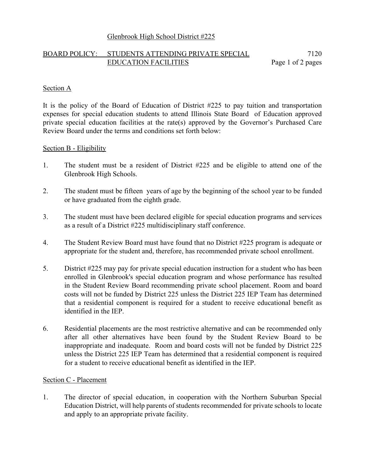## Glenbrook High School District #225

## BOARD POLICY: STUDENTS ATTENDING PRIVATE SPECIAL 7120 EDUCATION FACILITIES Page 1 of 2 pages

## Section A

It is the policy of the Board of Education of District #225 to pay tuition and transportation expenses for special education students to attend Illinois State Board of Education approved private special education facilities at the rate(s) approved by the Governor's Purchased Care Review Board under the terms and conditions set forth below:

#### Section B - Eligibility

- 1. The student must be a resident of District #225 and be eligible to attend one of the Glenbrook High Schools.
- 2. The student must be fifteen years of age by the beginning of the school year to be funded or have graduated from the eighth grade.
- 3. The student must have been declared eligible for special education programs and services as a result of a District #225 multidisciplinary staff conference.
- 4. The Student Review Board must have found that no District #225 program is adequate or appropriate for the student and, therefore, has recommended private school enrollment.
- 5. District #225 may pay for private special education instruction for a student who has been enrolled in Glenbrook's special education program and whose performance has resulted in the Student Review Board recommending private school placement. Room and board costs will not be funded by District 225 unless the District 225 IEP Team has determined that a residential component is required for a student to receive educational benefit as identified in the IEP.
- 6. Residential placements are the most restrictive alternative and can be recommended only after all other alternatives have been found by the Student Review Board to be inappropriate and inadequate. Room and board costs will not be funded by District 225 unless the District 225 IEP Team has determined that a residential component is required for a student to receive educational benefit as identified in the IEP.

#### Section C - Placement

1. The director of special education, in cooperation with the Northern Suburban Special Education District, will help parents of students recommended for private schools to locate and apply to an appropriate private facility.